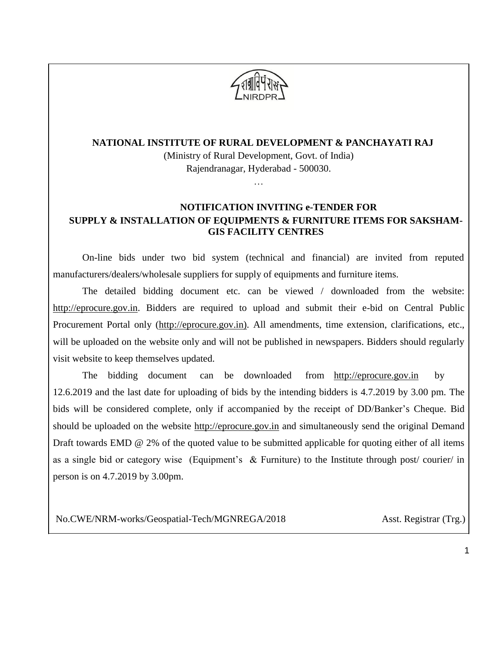

(Ministry of Rural Development, Govt. of India) Rajendranagar, Hyderabad - 500030.

#### …

### **NOTIFICATION INVITING e-TENDER FOR SUPPLY & INSTALLATION OF EQUIPMENTS & FURNITURE ITEMS FOR SAKSHAM-GIS FACILITY CENTRES**

On-line bids under two bid system (technical and financial) are invited from reputed manufacturers/dealers/wholesale suppliers for supply of equipments and furniture items.

The detailed bidding document etc. can be viewed / downloaded from the website: [http://eprocure.gov.in.](http://eprocure.gov.in/) Bidders are required to upload and submit their e-bid on Central Public Procurement Portal only [\(http://eprocure.gov.in\)](http://eprocure.gov.in/). All amendments, time extension, clarifications, etc., will be uploaded on the website only and will not be published in newspapers. Bidders should regularly visit website to keep themselves updated.

The bidding document can be downloaded from [http://eprocure.gov.in](http://eprocure.gov.in/) by 12.6.2019 and the last date for uploading of bids by the intending bidders is 4.7.2019 by 3.00 pm. The bids will be considered complete, only if accompanied by the receipt of DD/Banker's Cheque. Bid should be uploaded on the website [http://eprocure.gov.in](http://eprocure.gov.in/) and simultaneously send the original Demand Draft towards EMD @ 2% of the quoted value to be submitted applicable for quoting either of all items as a single bid or category wise (Equipment's  $\&$  Furniture) to the Institute through post/courier/ in person is on 4.7.2019 by 3.00pm.

No.CWE/NRM-works/Geospatial-Tech/MGNREGA/2018 Asst. Registrar (Trg.)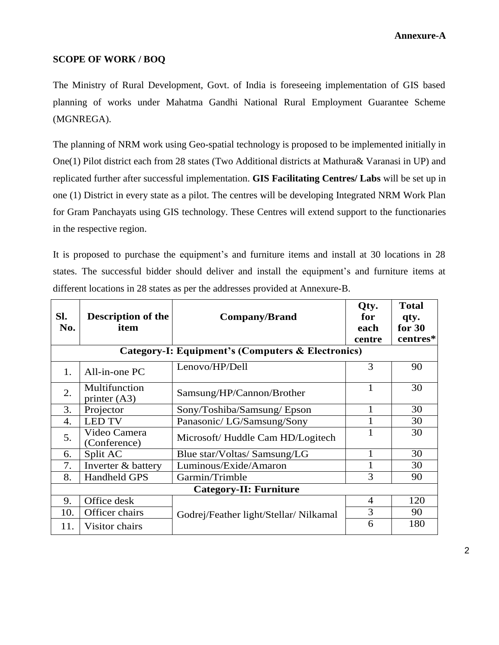#### **SCOPE OF WORK / BOQ**

The Ministry of Rural Development, Govt. of India is foreseeing implementation of GIS based planning of works under Mahatma Gandhi National Rural Employment Guarantee Scheme (MGNREGA).

The planning of NRM work using Geo-spatial technology is proposed to be implemented initially in One(1) Pilot district each from 28 states (Two Additional districts at Mathura& Varanasi in UP) and replicated further after successful implementation. **GIS Facilitating Centres/ Labs** will be set up in one (1) District in every state as a pilot. The centres will be developing Integrated NRM Work Plan for Gram Panchayats using GIS technology. These Centres will extend support to the functionaries in the respective region.

It is proposed to purchase the equipment's and furniture items and install at 30 locations in 28 states. The successful bidder should deliver and install the equipment's and furniture items at different locations in 28 states as per the addresses provided at Annexure-B.

| Sl.<br>No.       | <b>Description of the</b><br>item | <b>Company/Brand</b>                                         | Qty.<br>for<br>each<br>centre | <b>Total</b><br>qty.<br>for $30$<br>centres* |  |
|------------------|-----------------------------------|--------------------------------------------------------------|-------------------------------|----------------------------------------------|--|
|                  |                                   | <b>Category-I: Equipment's (Computers &amp; Electronics)</b> |                               |                                              |  |
| 1.               | All-in-one PC                     | Lenovo/HP/Dell                                               | 3                             | 90                                           |  |
| 2.               | Multifunction<br>printer $(A3)$   | Samsung/HP/Cannon/Brother                                    | 1                             | 30                                           |  |
| 3.               | Projector                         | Sony/Toshiba/Samsung/Epson                                   |                               | 30                                           |  |
| $\overline{4}$ . | <b>LED TV</b>                     | Panasonic/ LG/Samsung/Sony                                   |                               | 30                                           |  |
| 5.               | Video Camera<br>(Conference)      | Microsoft/Huddle Cam HD/Logitech                             |                               | 30                                           |  |
| 6.               | Split AC                          | Blue star/Voltas/Samsung/LG                                  |                               | 30                                           |  |
| 7.               | Inverter & battery                | Luminous/Exide/Amaron                                        |                               | 30                                           |  |
| 8.               | <b>Handheld GPS</b>               | Garmin/Trimble                                               | 3                             | 90                                           |  |
|                  | <b>Category-II: Furniture</b>     |                                                              |                               |                                              |  |
| 9.               | Office desk                       |                                                              | $\overline{4}$                | 120                                          |  |
| 10.              | Officer chairs                    | Godrej/Feather light/Stellar/Nilkamal                        | 3                             | 90                                           |  |
| 11.              | Visitor chairs                    |                                                              | 6                             | 180                                          |  |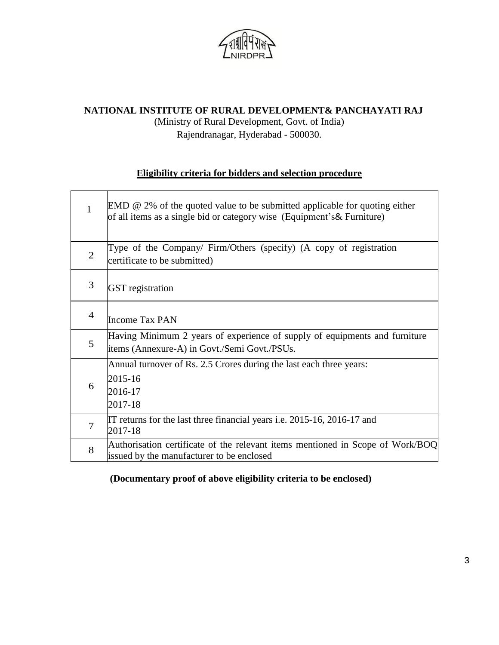

(Ministry of Rural Development, Govt. of India) Rajendranagar, Hyderabad - 500030.

### **Eligibility criteria for bidders and selection procedure**

| 1              | $EMD \n\mathcal{Q}$ 2% of the quoted value to be submitted applicable for quoting either<br>of all items as a single bid or category wise (Equipment's & Furniture) |
|----------------|---------------------------------------------------------------------------------------------------------------------------------------------------------------------|
| $\overline{2}$ | Type of the Company/ Firm/Others (specify) (A copy of registration<br>certificate to be submitted)                                                                  |
| 3              | <b>GST</b> registration                                                                                                                                             |
| $\overline{4}$ | <b>Income Tax PAN</b>                                                                                                                                               |
| 5              | Having Minimum 2 years of experience of supply of equipments and furniture<br>items (Annexure-A) in Govt./Semi Govt./PSUs.                                          |
| 6              | Annual turnover of Rs. 2.5 Crores during the last each three years:<br>2015-16<br>2016-17<br>2017-18                                                                |
| 7              | IT returns for the last three financial years i.e. 2015-16, 2016-17 and<br>2017-18                                                                                  |
| 8              | Authorisation certificate of the relevant items mentioned in Scope of Work/BOQ<br>issued by the manufacturer to be enclosed                                         |

**(Documentary proof of above eligibility criteria to be enclosed)**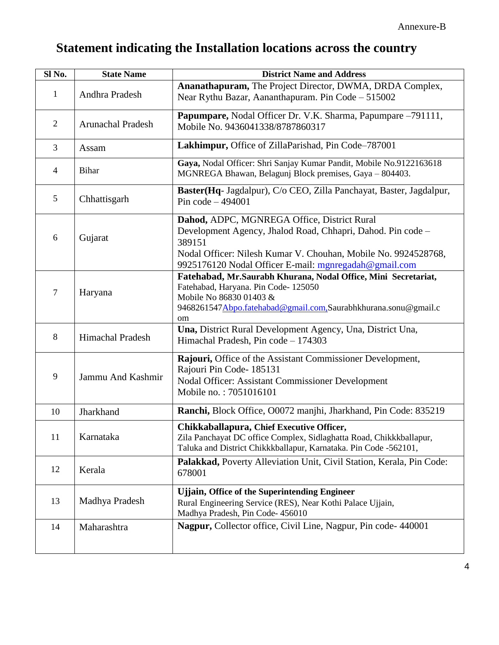# **Statement indicating the Installation locations across the country**

| Sl No.         | <b>State Name</b>        | <b>District Name and Address</b>                                                                                                                                                                                                                |
|----------------|--------------------------|-------------------------------------------------------------------------------------------------------------------------------------------------------------------------------------------------------------------------------------------------|
| $\mathbf{1}$   | Andhra Pradesh           | Ananathapuram, The Project Director, DWMA, DRDA Complex,<br>Near Rythu Bazar, Aananthapuram. Pin Code – 515002                                                                                                                                  |
| 2              | <b>Arunachal Pradesh</b> | Papumpare, Nodal Officer Dr. V.K. Sharma, Papumpare -791111,<br>Mobile No. 9436041338/8787860317                                                                                                                                                |
| $\mathfrak{Z}$ | Assam                    | Lakhimpur, Office of ZillaParishad, Pin Code-787001                                                                                                                                                                                             |
| $\overline{4}$ | <b>Bihar</b>             | Gaya, Nodal Officer: Shri Sanjay Kumar Pandit, Mobile No.9122163618<br>MGNREGA Bhawan, Belagunj Block premises, Gaya - 804403.                                                                                                                  |
| 5              | Chhattisgarh             | Baster(Hq- Jagdalpur), C/o CEO, Zilla Panchayat, Baster, Jagdalpur,<br>Pin code $-494001$                                                                                                                                                       |
| 6              | Gujarat                  | Dahod, ADPC, MGNREGA Office, District Rural<br>Development Agency, Jhalod Road, Chhapri, Dahod. Pin code -<br>389151<br>Nodal Officer: Nilesh Kumar V. Chouhan, Mobile No. 9924528768,<br>9925176120 Nodal Officer E-mail: mgnregadah@gmail.com |
| $\overline{7}$ | Haryana                  | Fatehabad, Mr.Saurabh Khurana, Nodal Office, Mini Secretariat,<br>Fatehabad, Haryana. Pin Code-125050<br>Mobile No 86830 01403 &<br>9468261547Abpo.fatehabad@gmail.com,Saurabhkhurana.sonu@gmail.c<br>om                                        |
| 8              | <b>Himachal Pradesh</b>  | Una, District Rural Development Agency, Una, District Una,<br>Himachal Pradesh, Pin code - 174303                                                                                                                                               |
| 9              | Jammu And Kashmir        | Rajouri, Office of the Assistant Commissioner Development,<br>Rajouri Pin Code- 185131<br>Nodal Officer: Assistant Commissioner Development<br>Mobile no.: 7051016101                                                                           |
| 10             | Jharkhand                | Ranchi, Block Office, O0072 manjhi, Jharkhand, Pin Code: 835219                                                                                                                                                                                 |
| 11             | Karnataka                | Chikkaballapura, Chief Executive Officer,<br>Zila Panchayat DC office Complex, Sidlaghatta Road, Chikkkballapur,<br>Taluka and District Chikkkballapur, Karnataka. Pin Code -562101,                                                            |
| 12             | Kerala                   | Palakkad, Poverty Alleviation Unit, Civil Station, Kerala, Pin Code:<br>678001                                                                                                                                                                  |
| 13             | Madhya Pradesh           | <b>Ujjain, Office of the Superintending Engineer</b><br>Rural Engineering Service (RES), Near Kothi Palace Ujjain,<br>Madhya Pradesh, Pin Code- 456010                                                                                          |
| 14             | Maharashtra              | Nagpur, Collector office, Civil Line, Nagpur, Pin code-440001                                                                                                                                                                                   |
|                |                          |                                                                                                                                                                                                                                                 |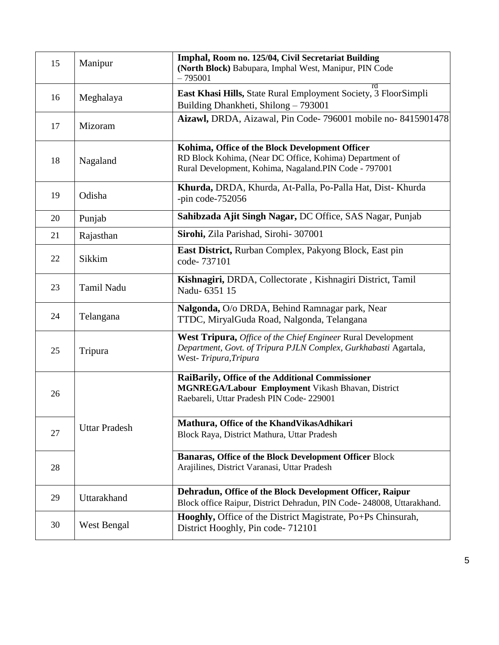| 15 | Manipur              | Imphal, Room no. 125/04, Civil Secretariat Building<br>(North Block) Babupara, Imphal West, Manipur, PIN Code<br>$-795001$                                          |
|----|----------------------|---------------------------------------------------------------------------------------------------------------------------------------------------------------------|
| 16 | Meghalaya            | East Khasi Hills, State Rural Employment Society, 3 FloorSimpli<br>Building Dhankheti, Shilong - 793001                                                             |
| 17 | Mizoram              | Aizawl, DRDA, Aizawal, Pin Code-796001 mobile no-8415901478                                                                                                         |
| 18 | Nagaland             | Kohima, Office of the Block Development Officer<br>RD Block Kohima, (Near DC Office, Kohima) Department of<br>Rural Development, Kohima, Nagaland.PIN Code - 797001 |
| 19 | Odisha               | Khurda, DRDA, Khurda, At-Palla, Po-Palla Hat, Dist-Khurda<br>-pin code- $752056$                                                                                    |
| 20 | Punjab               | Sahibzada Ajit Singh Nagar, DC Office, SAS Nagar, Punjab                                                                                                            |
| 21 | Rajasthan            | Sirohi, Zila Parishad, Sirohi- 307001                                                                                                                               |
| 22 | Sikkim               | East District, Rurban Complex, Pakyong Block, East pin<br>code-737101                                                                                               |
| 23 | Tamil Nadu           | Kishnagiri, DRDA, Collectorate, Kishnagiri District, Tamil<br>Nadu-6351 15                                                                                          |
| 24 | Telangana            | Nalgonda, O/o DRDA, Behind Ramnagar park, Near<br>TTDC, MiryalGuda Road, Nalgonda, Telangana                                                                        |
| 25 | Tripura              | West Tripura, Office of the Chief Engineer Rural Development<br>Department, Govt. of Tripura PJLN Complex, Gurkhabasti Agartala,<br>West-Tripura, Tripura           |
| 26 |                      | RaiBarily, Office of the Additional Commissioner<br>MGNREGA/Labour Employment Vikash Bhavan, District<br>Raebareli, Uttar Pradesh PIN Code-229001                   |
| 27 | <b>Uttar Pradesh</b> | Mathura, Office of the KhandVikasAdhikari<br>Block Raya, District Mathura, Uttar Pradesh                                                                            |
| 28 |                      | <b>Banaras, Office of the Block Development Officer Block</b><br>Arajilines, District Varanasi, Uttar Pradesh                                                       |
| 29 | Uttarakhand          | Dehradun, Office of the Block Development Officer, Raipur<br>Block office Raipur, District Dehradun, PIN Code- 248008, Uttarakhand.                                 |
| 30 | West Bengal          | Hooghly, Office of the District Magistrate, Po+Ps Chinsurah,<br>District Hooghly, Pin code-712101                                                                   |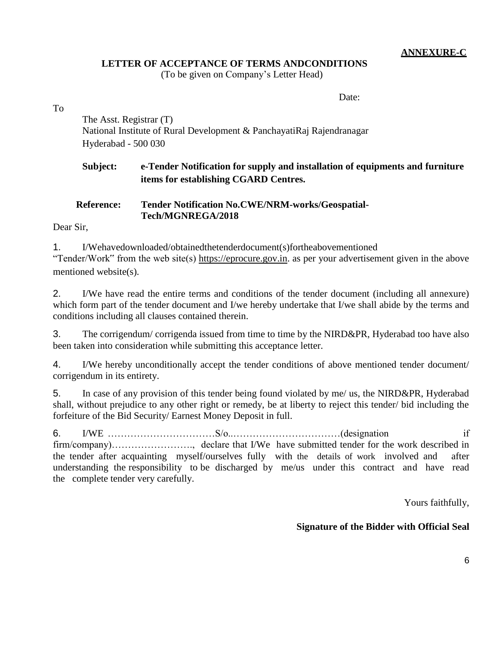#### **ANNEXURE-C**

#### **LETTER OF ACCEPTANCE OF TERMS ANDCONDITIONS**

(To be given on Company's Letter Head)

Date:

To

The Asst. Registrar (T) National Institute of Rural Development & PanchayatiRaj Rajendranagar Hyderabad - 500 030

### **Subject: e-Tender Notification for supply and installation of equipments and furniture items for establishing CGARD Centres.**

### **Reference: Tender Notification No.CWE/NRM-works/Geospatial-Tech/MGNREGA/2018**

Dear Sir,

1. I/Wehavedownloaded/obtainedthetenderdocument(s)fortheabovementioned "Tender/Work" from the web site(s) [https://eprocure.gov.in.](https://eprocure.gov.in/) as per your advertisement given in the above mentioned website(s).

2. I/We have read the entire terms and conditions of the tender document (including all annexure) which form part of the tender document and I/we hereby undertake that I/we shall abide by the terms and conditions including all clauses contained therein.

3. The corrigendum/ corrigenda issued from time to time by the NIRD&PR, Hyderabad too have also been taken into consideration while submitting this acceptance letter.

4. I/We hereby unconditionally accept the tender conditions of above mentioned tender document/ corrigendum in its entirety.

5. In case of any provision of this tender being found violated by me/ us, the NIRD&PR, Hyderabad shall, without prejudice to any other right or remedy, be at liberty to reject this tender/ bid including the forfeiture of the Bid Security/ Earnest Money Deposit in full.

6. I/WE  $\ldots$  if if firm/company)……………………., declare that I/We have submitted tender for the work described in the tender after acquainting myself/ourselves fully with the details of work involved and after understanding the responsibility to be discharged by me/us under this contract and have read the complete tender very carefully.

Yours faithfully,

#### **Signature of the Bidder with Official Seal**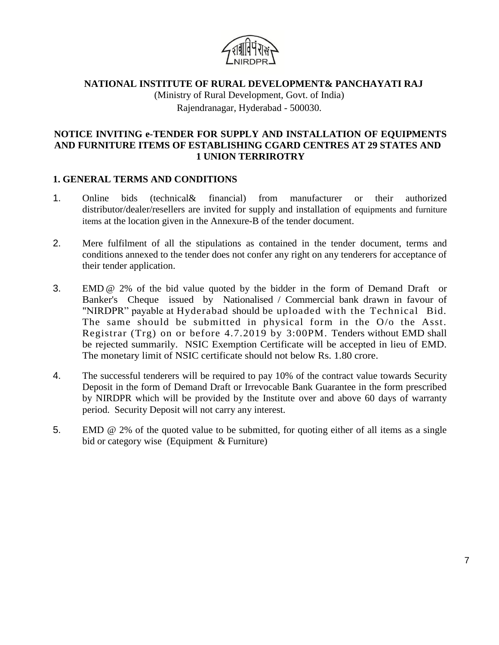

(Ministry of Rural Development, Govt. of India) Rajendranagar, Hyderabad - 500030.

#### **NOTICE INVITING e-TENDER FOR SUPPLY AND INSTALLATION OF EQUIPMENTS AND FURNITURE ITEMS OF ESTABLISHING CGARD CENTRES AT 29 STATES AND 1 UNION TERRIROTRY**

#### **1. GENERAL TERMS AND CONDITIONS**

- 1. Online bids (technical& financial) from manufacturer or their authorized distributor/dealer/resellers are invited for supply and installation of equipments and furniture items at the location given in the Annexure-B of the tender document.
- 2. Mere fulfilment of all the stipulations as contained in the tender document, terms and conditions annexed to the tender does not confer any right on any tenderers for acceptance of their tender application.
- 3. EMD @ 2% of the bid value quoted by the bidder in the form of Demand Draft or Banker's Cheque issued by Nationalised / Commercial bank drawn in favour of "NIRDPR" payable at Hyderabad should be uploaded with the Technical Bid. The same should be submitted in physical form in the O/o the Asst. Registrar (Trg) on or before 4.7.2019 by 3:00PM. Tenders without EMD shall be rejected summarily. NSIC Exemption Certificate will be accepted in lieu of EMD. The monetary limit of NSIC certificate should not below Rs. 1.80 crore.
- 4. The successful tenderers will be required to pay 10% of the contract value towards Security Deposit in the form of Demand Draft or Irrevocable Bank Guarantee in the form prescribed by NIRDPR which will be provided by the Institute over and above 60 days of warranty period. Security Deposit will not carry any interest.
- 5. EMD @ 2% of the quoted value to be submitted, for quoting either of all items as a single bid or category wise (Equipment & Furniture)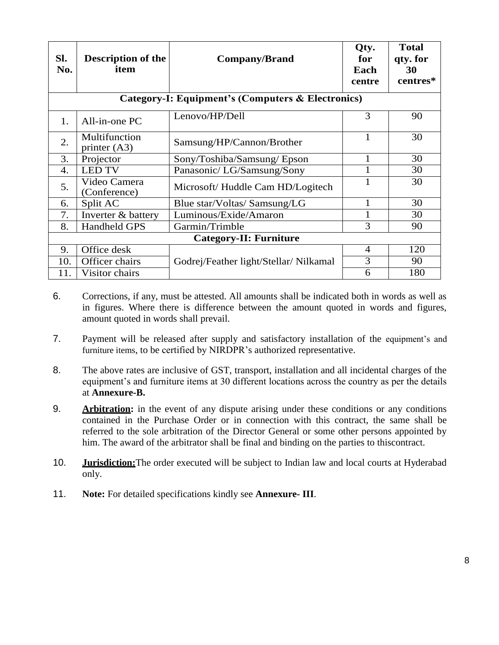| Sl.<br>No.                    | <b>Description of the</b><br>item | <b>Company/Brand</b>                              | Qty.<br>for<br>Each<br>centre | <b>Total</b><br>qty. for<br>30<br>centres* |
|-------------------------------|-----------------------------------|---------------------------------------------------|-------------------------------|--------------------------------------------|
|                               |                                   | Category-I: Equipment's (Computers & Electronics) |                               |                                            |
| 1.                            | All-in-one PC                     | Lenovo/HP/Dell                                    | 3                             | 90                                         |
| 2.                            | Multifunction<br>printer $(A3)$   | Samsung/HP/Cannon/Brother                         | 1                             | 30                                         |
| 3.                            | Projector                         | Sony/Toshiba/Samsung/Epson                        | 1                             | 30                                         |
| 4.                            | <b>LED TV</b>                     | Panasonic/LG/Samsung/Sony                         | 1                             | 30                                         |
| 5.                            | Video Camera<br>(Conference)      | Microsoft/Huddle Cam HD/Logitech                  |                               | 30                                         |
| 6.                            | Split AC                          | Blue star/Voltas/ Samsung/LG                      | 1                             | 30                                         |
| 7.                            | Inverter & battery                | Luminous/Exide/Amaron                             | 1                             | 30                                         |
| 8.                            | <b>Handheld GPS</b>               | Garmin/Trimble                                    | 3                             | 90                                         |
| <b>Category-II: Furniture</b> |                                   |                                                   |                               |                                            |
| 9.                            | Office desk                       |                                                   | $\overline{4}$                | 120                                        |
| 10.                           | Officer chairs                    | Godrej/Feather light/Stellar/Nilkamal             | 3                             | 90                                         |
| 11.                           | Visitor chairs                    |                                                   | 6                             | 180                                        |

- 6. Corrections, if any, must be attested. All amounts shall be indicated both in words as well as in figures. Where there is difference between the amount quoted in words and figures, amount quoted in words shall prevail.
- 7. Payment will be released after supply and satisfactory installation of the equipment's and furniture items, to be certified by NIRDPR's authorized representative.
- 8. The above rates are inclusive of GST, transport, installation and all incidental charges of the equipment's and furniture items at 30 different locations across the country as per the details at **Annexure-B.**
- 9. **Arbitration:** in the event of any dispute arising under these conditions or any conditions contained in the Purchase Order or in connection with this contract, the same shall be referred to the sole arbitration of the Director General or some other persons appointed by him. The award of the arbitrator shall be final and binding on the parties to thiscontract.
- 10. **Jurisdiction:**The order executed will be subject to Indian law and local courts at Hyderabad only.
- 11. **Note:** For detailed specifications kindly see **Annexure- III**.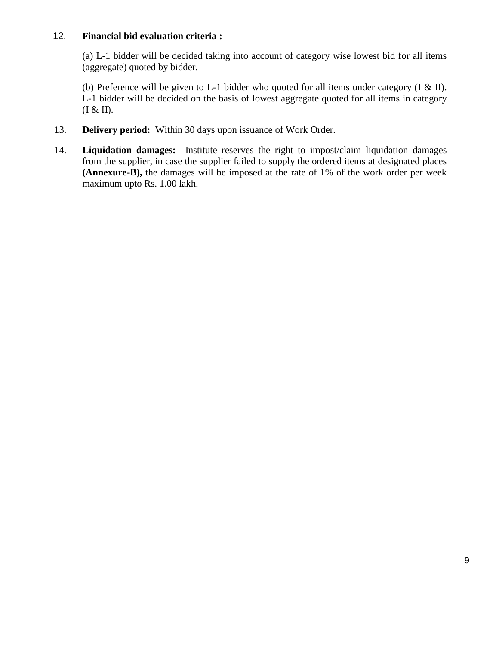#### 12. **Financial bid evaluation criteria :**

(a) L-1 bidder will be decided taking into account of category wise lowest bid for all items (aggregate) quoted by bidder.

(b) Preference will be given to L-1 bidder who quoted for all items under category  $(I & I)$ . L-1 bidder will be decided on the basis of lowest aggregate quoted for all items in category  $(I & H)$ .

- 13. **Delivery period:** Within 30 days upon issuance of Work Order.
- 14. **Liquidation damages:** Institute reserves the right to impost/claim liquidation damages from the supplier, in case the supplier failed to supply the ordered items at designated places **(Annexure-B),** the damages will be imposed at the rate of 1% of the work order per week maximum upto Rs. 1.00 lakh.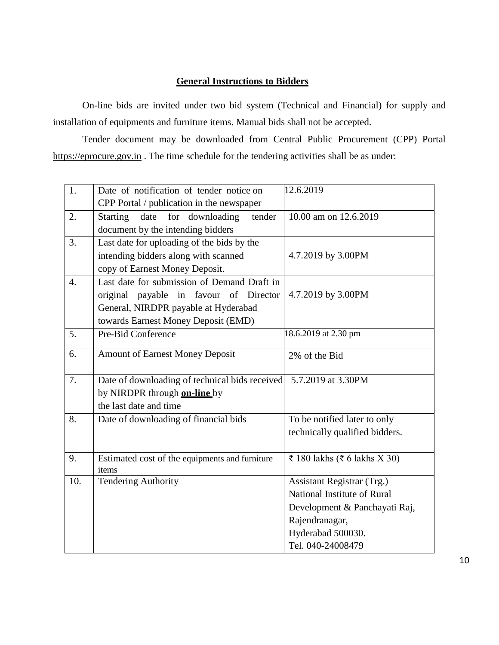### **General Instructions to Bidders**

On-line bids are invited under two bid system (Technical and Financial) for supply and installation of equipments and furniture items. Manual bids shall not be accepted.

Tender document may be downloaded from Central Public Procurement (CPP) Portal [https://eprocure.gov.in](https://eprocure.gov.in/) . The time schedule for the tendering activities shall be as under:

| 1.               | Date of notification of tender notice on       | 12.6.2019                      |
|------------------|------------------------------------------------|--------------------------------|
|                  | CPP Portal / publication in the newspaper      |                                |
| 2.               | Starting<br>date<br>for downloading<br>tender  | 10.00 am on 12.6.2019          |
|                  | document by the intending bidders              |                                |
| 3.               | Last date for uploading of the bids by the     |                                |
|                  | intending bidders along with scanned           | 4.7.2019 by 3.00PM             |
|                  | copy of Earnest Money Deposit.                 |                                |
| $\overline{4}$ . | Last date for submission of Demand Draft in    |                                |
|                  | original payable in favour of Director         | 4.7.2019 by 3.00PM             |
|                  | General, NIRDPR payable at Hyderabad           |                                |
|                  | towards Earnest Money Deposit (EMD)            |                                |
| 5.               | Pre-Bid Conference                             | 18.6.2019 at 2.30 pm           |
| 6.               | <b>Amount of Earnest Money Deposit</b>         |                                |
|                  |                                                | 2% of the Bid                  |
| 7.               | Date of downloading of technical bids received | 5.7.2019 at 3.30PM             |
|                  | by NIRDPR through <b>on-line</b> by            |                                |
|                  | the last date and time                         |                                |
| 8.               | Date of downloading of financial bids          | To be notified later to only   |
|                  |                                                | technically qualified bidders. |
|                  |                                                |                                |
| 9.               | Estimated cost of the equipments and furniture | ₹ 180 lakhs (₹ 6 lakhs X 30)   |
|                  | items                                          |                                |
| 10.              | <b>Tendering Authority</b>                     | Assistant Registrar (Trg.)     |
|                  |                                                | National Institute of Rural    |
|                  |                                                | Development & Panchayati Raj,  |
|                  |                                                | Rajendranagar,                 |
|                  |                                                | Hyderabad 500030.              |
|                  |                                                | Tel. 040-24008479              |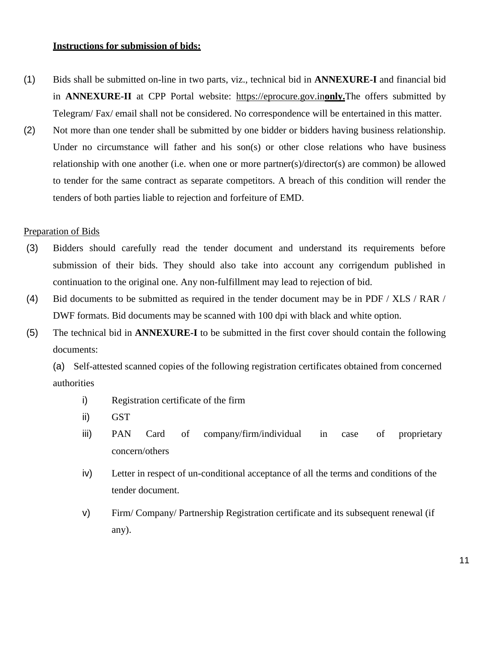#### **Instructions for submission of bids:**

- (1) Bids shall be submitted on-line in two parts, viz., technical bid in **ANNEXURE-I** and financial bid in **ANNEXURE-II** at CPP Portal website: [https://eprocure.gov.in](https://eprocure.gov.in/)**only.**The offers submitted by Telegram/ Fax/ email shall not be considered. No correspondence will be entertained in this matter.
- (2) Not more than one tender shall be submitted by one bidder or bidders having business relationship. Under no circumstance will father and his son(s) or other close relations who have business relationship with one another (i.e. when one or more partner(s)/director(s) are common) be allowed to tender for the same contract as separate competitors. A breach of this condition will render the tenders of both parties liable to rejection and forfeiture of EMD.

#### Preparation of Bids

- (3) Bidders should carefully read the tender document and understand its requirements before submission of their bids. They should also take into account any corrigendum published in continuation to the original one. Any non-fulfillment may lead to rejection of bid.
- (4) Bid documents to be submitted as required in the tender document may be in PDF / XLS / RAR / DWF formats. Bid documents may be scanned with 100 dpi with black and white option.
- (5) The technical bid in **ANNEXURE-I** to be submitted in the first cover should contain the following documents:

(a) Self-attested scanned copies of the following registration certificates obtained from concerned authorities

- i) Registration certificate of the firm
- ii) GST
- iii) PAN Card of company/firm/individual in case of proprietary concern/others
- iv) Letter in respect of un-conditional acceptance of all the terms and conditions of the tender document.
- v) Firm/ Company/ Partnership Registration certificate and its subsequent renewal (if any).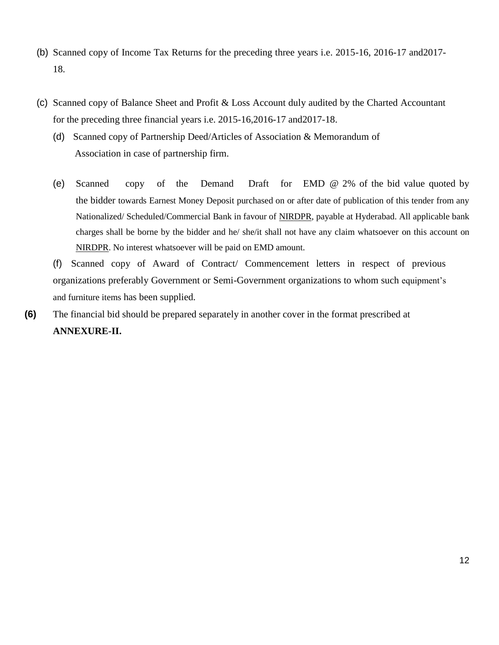- (b) Scanned copy of Income Tax Returns for the preceding three years i.e. 2015-16, 2016-17 and2017- 18.
- (c) Scanned copy of Balance Sheet and Profit & Loss Account duly audited by the Charted Accountant for the preceding three financial years i.e. 2015-16,2016-17 and2017-18.
	- (d) Scanned copy of Partnership Deed/Articles of Association & Memorandum of Association in case of partnership firm.
	- (e) Scanned copy of the Demand Draft for EMD @ 2% of the bid value quoted by the bidder towards Earnest Money Deposit purchased on or after date of publication of this tender from any Nationalized/ Scheduled/Commercial Bank in favour of NIRDPR, payable at Hyderabad. All applicable bank charges shall be borne by the bidder and he/ she/it shall not have any claim whatsoever on this account on NIRDPR. No interest whatsoever will be paid on EMD amount.

(f) Scanned copy of Award of Contract/ Commencement letters in respect of previous organizations preferably Government or Semi-Government organizations to whom such equipment's and furniture items has been supplied.

**(6)** The financial bid should be prepared separately in another cover in the format prescribed at **ANNEXURE-II.**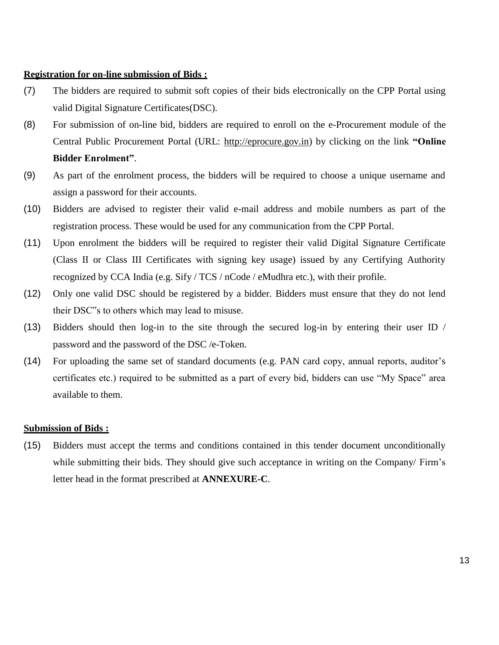#### **Registration for on-line submission of Bids :**

- (7) The bidders are required to submit soft copies of their bids electronically on the CPP Portal using valid Digital Signature Certificates(DSC).
- (8) For submission of on-line bid, bidders are required to enroll on the e-Procurement module of the Central Public Procurement Portal (URL: [http://eprocure.gov.in\)](http://eprocure.gov.in/eprocure/app) by clicking on the link **"Online Bidder Enrolment"**.
- (9) As part of the enrolment process, the bidders will be required to choose a unique username and assign a password for their accounts.
- (10) Bidders are advised to register their valid e-mail address and mobile numbers as part of the registration process. These would be used for any communication from the CPP Portal.
- (11) Upon enrolment the bidders will be required to register their valid Digital Signature Certificate (Class II or Class III Certificates with signing key usage) issued by any Certifying Authority recognized by CCA India (e.g. Sify / TCS / nCode / eMudhra etc.), with their profile.
- (12) Only one valid DSC should be registered by a bidder. Bidders must ensure that they do not lend their DSC"s to others which may lead to misuse.
- (13) Bidders should then log-in to the site through the secured log-in by entering their user ID / password and the password of the DSC /e-Token.
- (14) For uploading the same set of standard documents (e.g. PAN card copy, annual reports, auditor's certificates etc.) required to be submitted as a part of every bid, bidders can use "My Space" area available to them.

#### **Submission of Bids :**

(15) Bidders must accept the terms and conditions contained in this tender document unconditionally while submitting their bids. They should give such acceptance in writing on the Company/ Firm's letter head in the format prescribed at **ANNEXURE-C**.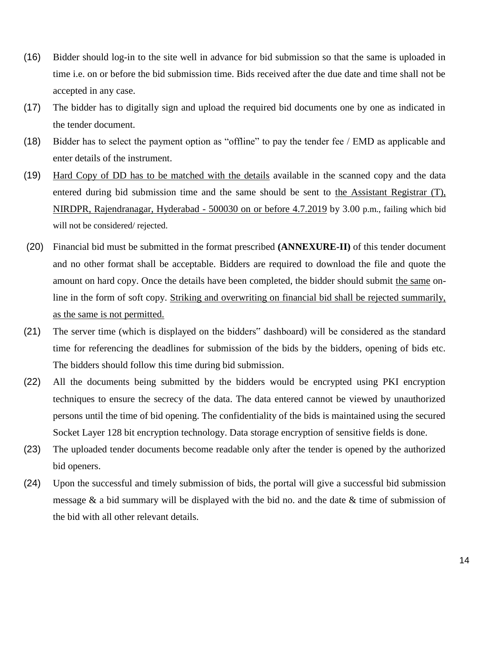- (16) Bidder should log-in to the site well in advance for bid submission so that the same is uploaded in time i.e. on or before the bid submission time. Bids received after the due date and time shall not be accepted in any case.
- (17) The bidder has to digitally sign and upload the required bid documents one by one as indicated in the tender document.
- (18) Bidder has to select the payment option as "offline" to pay the tender fee / EMD as applicable and enter details of the instrument.
- (19) Hard Copy of DD has to be matched with the details available in the scanned copy and the data entered during bid submission time and the same should be sent to the Assistant Registrar (T), NIRDPR, Rajendranagar, Hyderabad - 500030 on or before 4.7.2019 by 3.00 p.m., failing which bid will not be considered/ rejected.
- (20) Financial bid must be submitted in the format prescribed **(ANNEXURE-II)** of this tender document and no other format shall be acceptable. Bidders are required to download the file and quote the amount on hard copy. Once the details have been completed, the bidder should submit the same online in the form of soft copy. Striking and overwriting on financial bid shall be rejected summarily, as the same is not permitted.
- (21) The server time (which is displayed on the bidders" dashboard) will be considered as the standard time for referencing the deadlines for submission of the bids by the bidders, opening of bids etc. The bidders should follow this time during bid submission.
- (22) All the documents being submitted by the bidders would be encrypted using PKI encryption techniques to ensure the secrecy of the data. The data entered cannot be viewed by unauthorized persons until the time of bid opening. The confidentiality of the bids is maintained using the secured Socket Layer 128 bit encryption technology. Data storage encryption of sensitive fields is done.
- (23) The uploaded tender documents become readable only after the tender is opened by the authorized bid openers.
- (24) Upon the successful and timely submission of bids, the portal will give a successful bid submission message  $\&$  a bid summary will be displayed with the bid no. and the date  $\&$  time of submission of the bid with all other relevant details.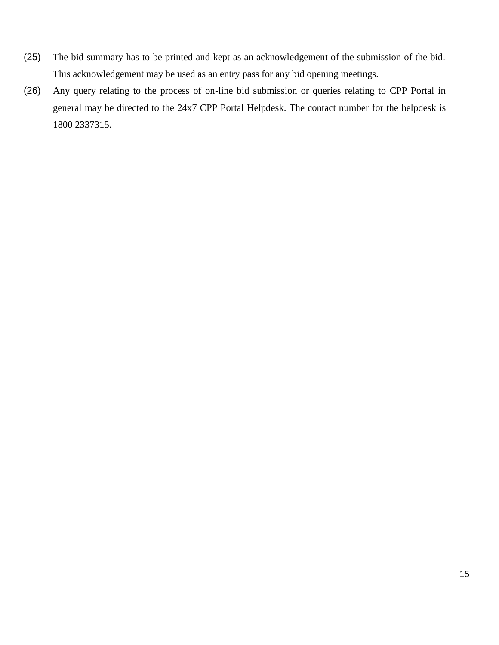- (25) The bid summary has to be printed and kept as an acknowledgement of the submission of the bid. This acknowledgement may be used as an entry pass for any bid opening meetings.
- (26) Any query relating to the process of on-line bid submission or queries relating to CPP Portal in general may be directed to the 24x7 CPP Portal Helpdesk. The contact number for the helpdesk is 1800 2337315.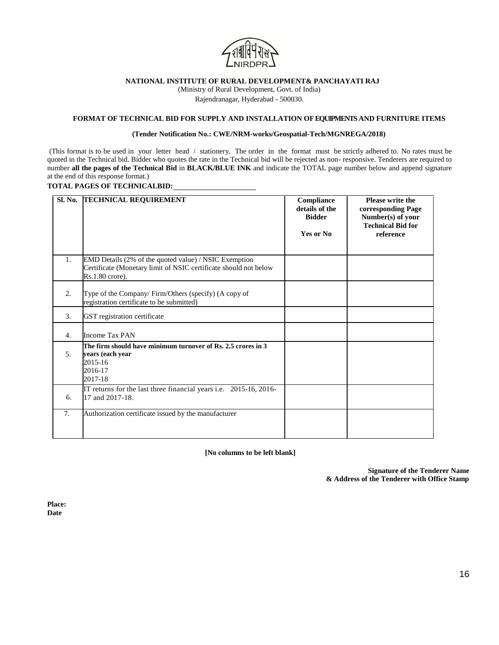

(Ministry of Rural Development, Govt. of India)

Rajendranagar, Hyderabad - 500030.

#### **FORMAT OF TECHNICAL BID FOR SUPPLY AND INSTALLATION OFEQUIPMENTS AND FURNITURE ITEMS**

#### **(Tender Notification No.: CWE/NRM-works/Geospatial-Tech/MGNREGA/2018)**

(This format is to be used in your letter head / stationery. The order in the format must be strictly adhered to. No rates must be quoted in the Technical bid. Bidder who quotes the rate in the Technical bid will be rejected as non- responsive. Tenderers are required to number **all the pages of the Technical Bid** in **BLACK/BLUE INK** and indicate the TOTAL page number below and append signature at the end of this response format.)

#### **TOTAL PAGES OF TECHNICALBID:**

| Sl. No.        | <b>TECHNICAL REQUIREMENT</b>                                                                                                                   | Compliance<br>details of the<br><b>Bidder</b><br>Yes or No | <b>Please write the</b><br>corresponding Page<br>Number(s) of your<br><b>Technical Bid for</b><br>reference |
|----------------|------------------------------------------------------------------------------------------------------------------------------------------------|------------------------------------------------------------|-------------------------------------------------------------------------------------------------------------|
| 1.             | EMD Details (2% of the quoted value) / NSIC Exemption<br>Certificate (Monetary limit of NSIC certificate should not below<br>$Rs.1.80$ crore). |                                                            |                                                                                                             |
| 2.             | Type of the Company/Firm/Others (specify) (A copy of<br>registration certificate to be submitted)                                              |                                                            |                                                                                                             |
| 3.             | GST registration certificate                                                                                                                   |                                                            |                                                                                                             |
| 4.             | Income Tax PAN                                                                                                                                 |                                                            |                                                                                                             |
| 5 <sub>1</sub> | The firm should have minimum turnover of Rs. 2.5 crores in 3<br>years (each year<br>2015-16<br>2016-17<br>2017-18                              |                                                            |                                                                                                             |
| 6.             | IT returns for the last three financial years i.e. 2015-16, 2016-<br>17 and 2017-18.                                                           |                                                            |                                                                                                             |
| 7.             | Authorization certificate issued by the manufacturer                                                                                           |                                                            |                                                                                                             |

**[No columns to be left blank]**

**Signature of the Tenderer Name & Address of the Tenderer with Office Stamp**

**Place: Date**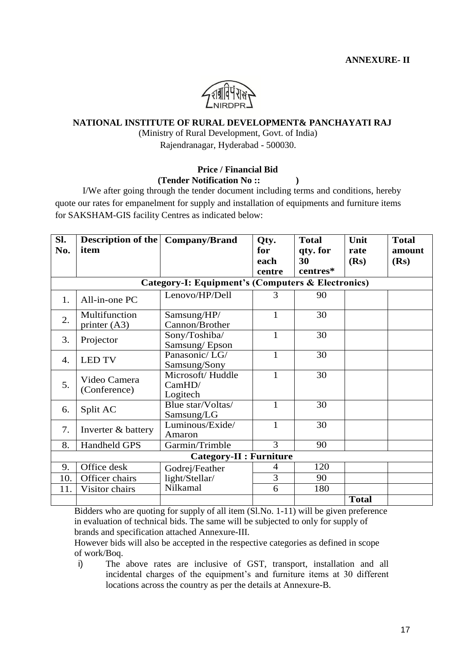

(Ministry of Rural Development, Govt. of India)

Rajendranagar, Hyderabad - 500030.

#### **Price / Financial Bid (Tender Notification No :: )**

I/We after going through the tender document including terms and conditions, hereby quote our rates for empanelment for supply and installation of equipments and furniture items for SAKSHAM-GIS facility Centres as indicated below:

| SI. | <b>Description of the   Company/Brand</b> |                                                   | Qty.         | <b>Total</b> | Unit         | <b>Total</b> |
|-----|-------------------------------------------|---------------------------------------------------|--------------|--------------|--------------|--------------|
| No. | item                                      |                                                   | for          | qty. for     | rate         | amount       |
|     |                                           |                                                   | each         | 30           | (Rs)         | (Rs)         |
|     |                                           |                                                   | centre       | centres*     |              |              |
|     |                                           | Category-I: Equipment's (Computers & Electronics) |              |              |              |              |
| 1.  | All-in-one PC                             | Lenovo/HP/Dell                                    | 3            | 90           |              |              |
|     | Multifunction                             | Samsung/HP/                                       | 1            | 30           |              |              |
| 2.  | printer $(A3)$                            | Cannon/Brother                                    |              |              |              |              |
| 3.  | Projector                                 | Sony/Toshiba/                                     |              | 30           |              |              |
|     |                                           | Samsung/Epson                                     |              |              |              |              |
| 4.  | <b>LED TV</b>                             | Panasonic/LG/                                     |              | 30           |              |              |
|     |                                           | Samsung/Sony                                      |              |              |              |              |
|     | Video Camera<br>(Conference)              | Microsoft/Huddle                                  | $\mathbf{1}$ | 30           |              |              |
| 5.  |                                           | CamHD/                                            |              |              |              |              |
|     |                                           | Logitech                                          |              |              |              |              |
| 6.  | Split AC                                  | Blue star/Voltas/                                 | 1            | 30           |              |              |
|     |                                           | Samsung/LG                                        |              |              |              |              |
| 7.  | Inverter & battery                        | Luminous/Exide/                                   | 1            | 30           |              |              |
|     |                                           | Amaron                                            |              |              |              |              |
| 8.  | <b>Handheld GPS</b>                       | Garmin/Trimble                                    | 3            | 90           |              |              |
|     | <b>Category-II : Furniture</b>            |                                                   |              |              |              |              |
| 9.  | Office desk                               | Godrej/Feather                                    | 4            | 120          |              |              |
| 10. | Officer chairs                            | light/Stellar/                                    | 3            | 90           |              |              |
| 11. | Visitor chairs                            | Nilkamal                                          | 6            | 180          |              |              |
|     |                                           |                                                   |              |              | <b>Total</b> |              |

Bidders who are quoting for supply of all item (Sl.No. 1-11) will be given preference in evaluation of technical bids. The same will be subjected to only for supply of brands and specification attached Annexure-III.

However bids will also be accepted in the respective categories as defined in scope of work/Boq.

i) The above rates are inclusive of GST, transport, installation and all incidental charges of the equipment's and furniture items at 30 different locations across the country as per the details at Annexure-B.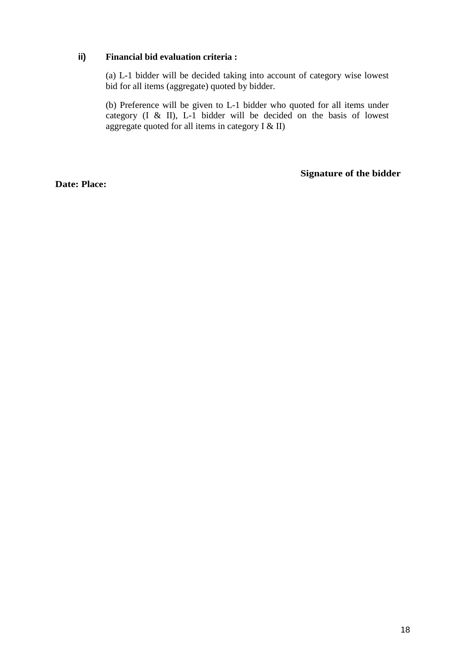### **ii) Financial bid evaluation criteria :**

(a) L-1 bidder will be decided taking into account of category wise lowest bid for all items (aggregate) quoted by bidder.

(b) Preference will be given to L-1 bidder who quoted for all items under category (I & II), L-1 bidder will be decided on the basis of lowest aggregate quoted for all items in category I  $\&$  II)

**Date: Place:**

**Signature of the bidder**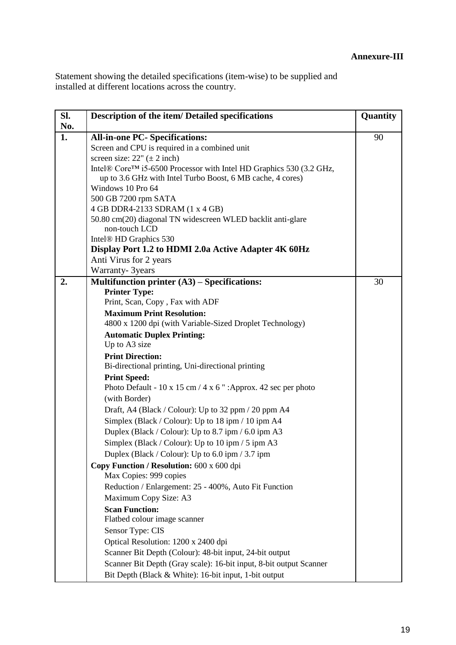## **Annexure-III**

Statement showing the detailed specifications (item-wise) to be supplied and installed at different locations across the country.

| SI. | <b>Description of the item/ Detailed specifications</b>             | Quantity |
|-----|---------------------------------------------------------------------|----------|
| No. |                                                                     |          |
| 1.  | <b>All-in-one PC- Specifications:</b>                               | 90       |
|     | Screen and CPU is required in a combined unit                       |          |
|     | screen size: $22''$ ( $\pm 2$ inch)                                 |          |
|     | Intel® Core™ i5-6500 Processor with Intel HD Graphics 530 (3.2 GHz, |          |
|     | up to 3.6 GHz with Intel Turbo Boost, 6 MB cache, 4 cores)          |          |
|     | Windows 10 Pro 64                                                   |          |
|     | 500 GB 7200 rpm SATA<br>4 GB DDR4-2133 SDRAM (1 x 4 GB)             |          |
|     | 50.80 cm(20) diagonal TN widescreen WLED backlit anti-glare         |          |
|     | non-touch LCD                                                       |          |
|     | Intel <sup>®</sup> HD Graphics 530                                  |          |
|     | Display Port 1.2 to HDMI 2.0a Active Adapter 4K 60Hz                |          |
|     | Anti Virus for 2 years                                              |          |
|     | Warranty- 3years                                                    |          |
| 2.  | Multifunction printer $(A3)$ – Specifications:                      | 30       |
|     | <b>Printer Type:</b>                                                |          |
|     | Print, Scan, Copy, Fax with ADF                                     |          |
|     | <b>Maximum Print Resolution:</b>                                    |          |
|     | 4800 x 1200 dpi (with Variable-Sized Droplet Technology)            |          |
|     | <b>Automatic Duplex Printing:</b>                                   |          |
|     | Up to A3 size                                                       |          |
|     | <b>Print Direction:</b>                                             |          |
|     | Bi-directional printing, Uni-directional printing                   |          |
|     | <b>Print Speed:</b>                                                 |          |
|     | Photo Default - 10 x 15 cm / 4 x 6 " : Approx. 42 sec per photo     |          |
|     | (with Border)                                                       |          |
|     | Draft, A4 (Black / Colour): Up to 32 ppm / 20 ppm A4                |          |
|     | Simplex (Black / Colour): Up to 18 ipm / 10 ipm A4                  |          |
|     | Duplex (Black / Colour): Up to 8.7 ipm / 6.0 ipm A3                 |          |
|     | Simplex (Black / Colour): Up to 10 ipm / 5 ipm A3                   |          |
|     | Duplex (Black / Colour): Up to $6.0$ ipm / 3.7 ipm                  |          |
|     | Copy Function / Resolution: 600 x 600 dpi                           |          |
|     | Max Copies: 999 copies                                              |          |
|     | Reduction / Enlargement: 25 - 400%, Auto Fit Function               |          |
|     | Maximum Copy Size: A3                                               |          |
|     | <b>Scan Function:</b>                                               |          |
|     | Flatbed colour image scanner                                        |          |
|     | Sensor Type: CIS                                                    |          |
|     | Optical Resolution: 1200 x 2400 dpi                                 |          |
|     | Scanner Bit Depth (Colour): 48-bit input, 24-bit output             |          |
|     | Scanner Bit Depth (Gray scale): 16-bit input, 8-bit output Scanner  |          |
|     | Bit Depth (Black & White): 16-bit input, 1-bit output               |          |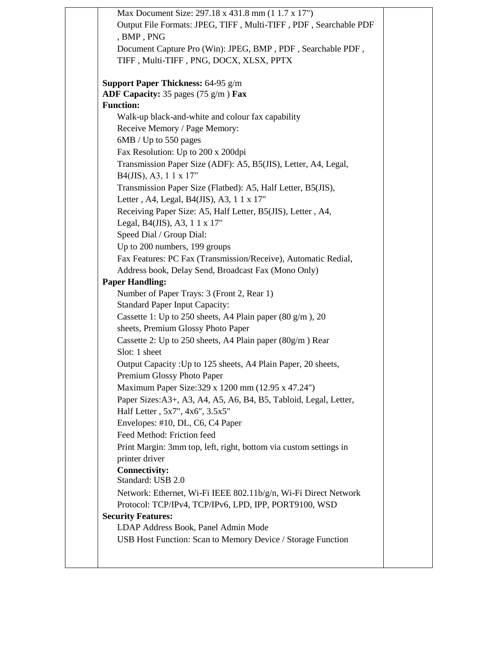|                  | Max Document Size: 297.18 x 431.8 mm (1 1.7 x 17")                                              |
|------------------|-------------------------------------------------------------------------------------------------|
|                  | Output File Formats: JPEG, TIFF, Multi-TIFF, PDF, Searchable PDF                                |
|                  | , BMP, PNG                                                                                      |
|                  | Document Capture Pro (Win): JPEG, BMP, PDF, Searchable PDF,                                     |
|                  | TIFF, Multi-TIFF, PNG, DOCX, XLSX, PPTX                                                         |
|                  |                                                                                                 |
|                  | <b>Support Paper Thickness: 64-95 g/m</b>                                                       |
|                  | ADF Capacity: 35 pages $(75 \text{ g/m})$ Fax                                                   |
| <b>Function:</b> |                                                                                                 |
|                  | Walk-up black-and-white and colour fax capability                                               |
|                  | Receive Memory / Page Memory:                                                                   |
|                  | 6MB / Up to 550 pages                                                                           |
|                  | Fax Resolution: Up to 200 x 200dpi                                                              |
|                  | Transmission Paper Size (ADF): A5, B5(JIS), Letter, A4, Legal,<br>B4(JIS), A3, $11 \times 17$ " |
|                  | Transmission Paper Size (Flatbed): A5, Half Letter, B5(JIS),                                    |
|                  | Letter, A4, Legal, B4(JIS), A3, 1 1 x 17"                                                       |
|                  | Receiving Paper Size: A5, Half Letter, B5(JIS), Letter, A4,                                     |
|                  | Legal, B4(JIS), A3, 1 1 x 17"                                                                   |
|                  | Speed Dial / Group Dial:                                                                        |
|                  | Up to 200 numbers, 199 groups                                                                   |
|                  | Fax Features: PC Fax (Transmission/Receive), Automatic Redial,                                  |
|                  | Address book, Delay Send, Broadcast Fax (Mono Only)                                             |
|                  | <b>Paper Handling:</b>                                                                          |
|                  | Number of Paper Trays: 3 (Front 2, Rear 1)                                                      |
|                  | <b>Standard Paper Input Capacity:</b>                                                           |
|                  | Cassette 1: Up to 250 sheets, A4 Plain paper $(80 \text{ g/m})$ , 20                            |
|                  | sheets, Premium Glossy Photo Paper                                                              |
|                  | Cassette 2: Up to 250 sheets, A4 Plain paper $(80g/m)$ Rear                                     |
|                  | Slot: 1 sheet                                                                                   |
|                  | Output Capacity: Up to 125 sheets, A4 Plain Paper, 20 sheets,                                   |
|                  | Premium Glossy Photo Paper                                                                      |
|                  | Maximum Paper Size: 329 x 1200 mm (12.95 x 47.24")                                              |
|                  | Paper Sizes: A3+, A3, A4, A5, A6, B4, B5, Tabloid, Legal, Letter,                               |
|                  | Half Letter, 5x7", 4x6", 3.5x5"                                                                 |
|                  | Envelopes: #10, DL, C6, C4 Paper                                                                |
|                  | Feed Method: Friction feed                                                                      |
|                  | Print Margin: 3mm top, left, right, bottom via custom settings in                               |
|                  | printer driver                                                                                  |
|                  | <b>Connectivity:</b>                                                                            |
|                  | Standard: USB 2.0                                                                               |
|                  | Network: Ethernet, Wi-Fi IEEE 802.11b/g/n, Wi-Fi Direct Network                                 |
|                  | Protocol: TCP/IPv4, TCP/IPv6, LPD, IPP, PORT9100, WSD                                           |
|                  | <b>Security Features:</b>                                                                       |
|                  | LDAP Address Book, Panel Admin Mode                                                             |
|                  | USB Host Function: Scan to Memory Device / Storage Function                                     |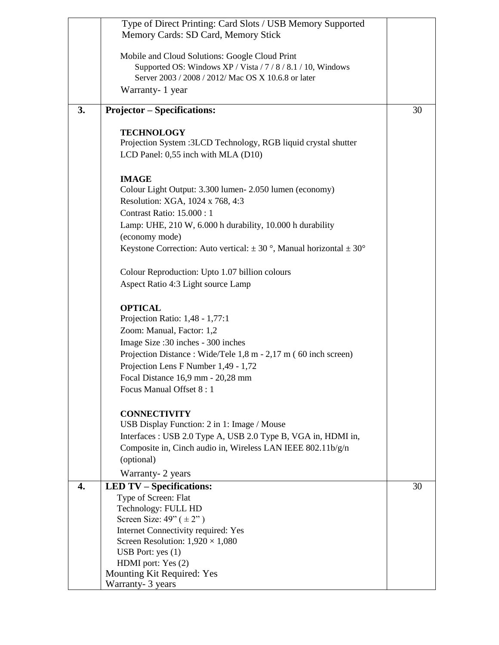|    | Type of Direct Printing: Card Slots / USB Memory Supported                 |    |
|----|----------------------------------------------------------------------------|----|
|    | Memory Cards: SD Card, Memory Stick                                        |    |
|    |                                                                            |    |
|    | Mobile and Cloud Solutions: Google Cloud Print                             |    |
|    | Supported OS: Windows XP / Vista / 7 / 8 / 8.1 / 10, Windows               |    |
|    |                                                                            |    |
|    | Server 2003 / 2008 / 2012/ Mac OS X 10.6.8 or later                        |    |
|    | Warranty- 1 year                                                           |    |
|    |                                                                            |    |
| 3. | <b>Projector – Specifications:</b>                                         | 30 |
|    |                                                                            |    |
|    | <b>TECHNOLOGY</b>                                                          |    |
|    | Projection System : 3LCD Technology, RGB liquid crystal shutter            |    |
|    |                                                                            |    |
|    | LCD Panel: 0,55 inch with MLA (D10)                                        |    |
|    |                                                                            |    |
|    | <b>IMAGE</b>                                                               |    |
|    | Colour Light Output: 3.300 lumen - 2.050 lumen (economy)                   |    |
|    | Resolution: XGA, 1024 x 768, 4:3                                           |    |
|    |                                                                            |    |
|    | Contrast Ratio: 15.000: 1                                                  |    |
|    | Lamp: UHE, 210 W, 6.000 h durability, 10.000 h durability                  |    |
|    | (economy mode)                                                             |    |
|    | Keystone Correction: Auto vertical: $\pm$ 30°, Manual horizontal $\pm$ 30° |    |
|    |                                                                            |    |
|    |                                                                            |    |
|    | Colour Reproduction: Upto 1.07 billion colours                             |    |
|    | Aspect Ratio 4:3 Light source Lamp                                         |    |
|    |                                                                            |    |
|    | <b>OPTICAL</b>                                                             |    |
|    | Projection Ratio: 1,48 - 1,77:1                                            |    |
|    |                                                                            |    |
|    | Zoom: Manual, Factor: 1,2                                                  |    |
|    | Image Size: 30 inches - 300 inches                                         |    |
|    | Projection Distance: Wide/Tele 1,8 m - 2,17 m (60 inch screen)             |    |
|    | Projection Lens F Number 1,49 - 1,72                                       |    |
|    |                                                                            |    |
|    | Focal Distance 16,9 mm - 20,28 mm                                          |    |
|    | Focus Manual Offset 8:1                                                    |    |
|    |                                                                            |    |
|    | <b>CONNECTIVITY</b>                                                        |    |
|    | USB Display Function: 2 in 1: Image / Mouse                                |    |
|    |                                                                            |    |
|    | Interfaces : USB 2.0 Type A, USB 2.0 Type B, VGA in, HDMI in,              |    |
|    | Composite in, Cinch audio in, Wireless LAN IEEE 802.11b/g/n                |    |
|    | (optional)                                                                 |    |
|    | Warranty- 2 years                                                          |    |
|    |                                                                            |    |
| 4. | <b>LED TV – Specifications:</b>                                            | 30 |
|    | Type of Screen: Flat                                                       |    |
|    | Technology: FULL HD                                                        |    |
|    | Screen Size: $49$ " ( $\pm 2$ ")                                           |    |
|    | Internet Connectivity required: Yes                                        |    |
|    | Screen Resolution: $1,920 \times 1,080$                                    |    |
|    | USB Port: $yes(1)$                                                         |    |
|    | HDMI port: Yes (2)                                                         |    |
|    |                                                                            |    |
|    | Mounting Kit Required: Yes                                                 |    |
|    | Warranty- 3 years                                                          |    |